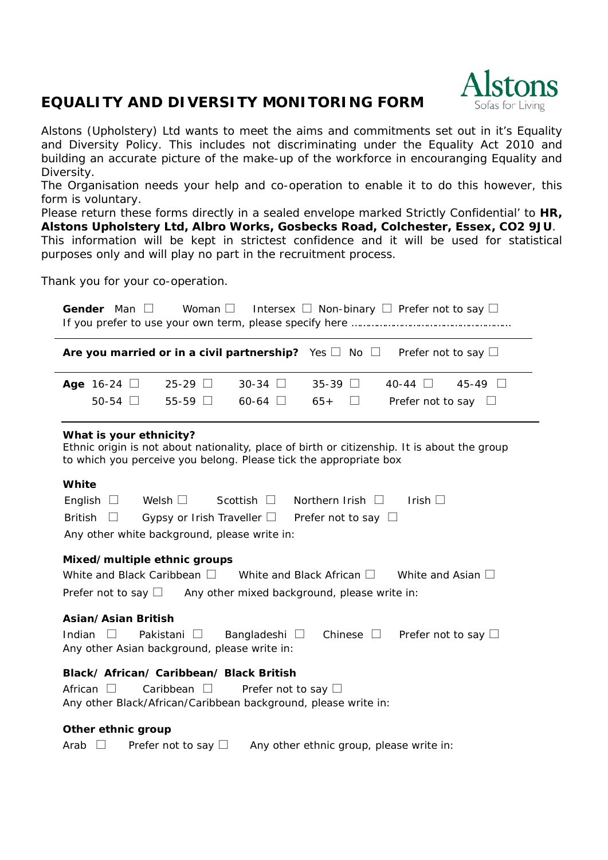## **EQUALITY AND DIVERSITY MONITORING FORM**



Alstons (Upholstery) Ltd wants to meet the aims and commitments set out in it's Equality and Diversity Policy. This includes not discriminating under the Equality Act 2010 and building an accurate picture of the make-up of the workforce in encouranging Equality and Diversity.

The Organisation needs your help and co-operation to enable it to do this however, this form is voluntary.

Please return these forms directly in a sealed envelope marked Strictly Confidential' to **HR, Alstons Upholstery Ltd, Albro Works, Gosbecks Road, Colchester, Essex, CO2 9JU**. This information will be kept in strictest confidence and it will be used for statistical purposes only and will play no part in the recruitment process.

Thank you for your co-operation.

| Woman $\Box$ Intersex $\Box$ Non-binary $\Box$ Prefer not to say $\Box$<br>Gender Man $\square$                                                                                                             |
|-------------------------------------------------------------------------------------------------------------------------------------------------------------------------------------------------------------|
| Are you married or in a civil partnership? Yes $\square$ No $\square$<br>Prefer not to say $\Box$                                                                                                           |
| $30-34$ $\Box$<br>$35-39$ $\Box$<br>40-44 $\Box$<br>$45-49$ $\Box$<br>Age 16-24 $\Box$<br>$25-29$ $\Box$                                                                                                    |
| 50-54 $\Box$<br>55-59 $\Box$<br>60-64 $\Box$<br>$65+$<br>Prefer not to say $\square$<br>$\overline{\phantom{a}}$                                                                                            |
| What is your ethnicity?<br>Ethnic origin is not about nationality, place of birth or citizenship. It is about the group<br>to which you perceive you belong. Please tick the appropriate box                |
| White                                                                                                                                                                                                       |
| English $\Box$<br>Welsh $\Box$<br>Scottish $\square$<br>Northern Irish $\Box$<br>Irish $\square$<br><b>British</b><br>Gypsy or Irish Traveller $\square$ Prefer not to say $\square$                        |
| Any other white background, please write in:                                                                                                                                                                |
| Mixed/multiple ethnic groups                                                                                                                                                                                |
| White and Black Caribbean $\square$<br>White and Black African $\square$ White and Asian $\square$                                                                                                          |
| Prefer not to say $\Box$ Any other mixed background, please write in:                                                                                                                                       |
| <b>Asian/Asian British</b><br>Chinese $\square$<br>Indian<br>Pakistani<br>Bangladeshi $\square$<br>Prefer not to say $\square$<br>$\perp$<br>$\mathbb{R}^n$<br>Any other Asian background, please write in: |
| Black/ African/ Caribbean/ Black British                                                                                                                                                                    |
| African $\Box$<br>Caribbean $\square$<br>Prefer not to say $\square$<br>Any other Black/African/Caribbean background, please write in:                                                                      |
| Other ethnic group                                                                                                                                                                                          |
| Any other ethnic group, please write in:<br>Arab<br>Prefer not to say $\Box$                                                                                                                                |